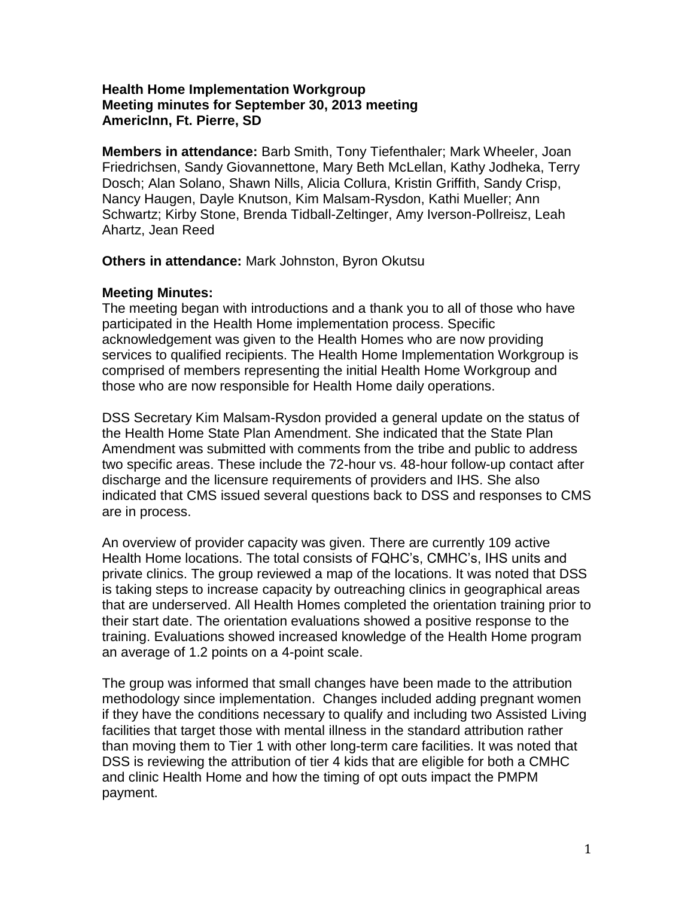## **Health Home Implementation Workgroup Meeting minutes for September 30, 2013 meeting AmericInn, Ft. Pierre, SD**

**Members in attendance:** Barb Smith, Tony Tiefenthaler; Mark Wheeler, Joan Friedrichsen, Sandy Giovannettone, Mary Beth McLellan, Kathy Jodheka, Terry Dosch; Alan Solano, Shawn Nills, Alicia Collura, Kristin Griffith, Sandy Crisp, Nancy Haugen, Dayle Knutson, Kim Malsam-Rysdon, Kathi Mueller; Ann Schwartz; Kirby Stone, Brenda Tidball-Zeltinger, Amy Iverson-Pollreisz, Leah Ahartz, Jean Reed

## **Others in attendance:** Mark Johnston, Byron Okutsu

## **Meeting Minutes:**

The meeting began with introductions and a thank you to all of those who have participated in the Health Home implementation process. Specific acknowledgement was given to the Health Homes who are now providing services to qualified recipients. The Health Home Implementation Workgroup is comprised of members representing the initial Health Home Workgroup and those who are now responsible for Health Home daily operations.

DSS Secretary Kim Malsam-Rysdon provided a general update on the status of the Health Home State Plan Amendment. She indicated that the State Plan Amendment was submitted with comments from the tribe and public to address two specific areas. These include the 72-hour vs. 48-hour follow-up contact after discharge and the licensure requirements of providers and IHS. She also indicated that CMS issued several questions back to DSS and responses to CMS are in process.

An overview of provider capacity was given. There are currently 109 active Health Home locations. The total consists of FQHC's, CMHC's, IHS units and private clinics. The group reviewed a map of the locations. It was noted that DSS is taking steps to increase capacity by outreaching clinics in geographical areas that are underserved. All Health Homes completed the orientation training prior to their start date. The orientation evaluations showed a positive response to the training. Evaluations showed increased knowledge of the Health Home program an average of 1.2 points on a 4-point scale.

The group was informed that small changes have been made to the attribution methodology since implementation. Changes included adding pregnant women if they have the conditions necessary to qualify and including two Assisted Living facilities that target those with mental illness in the standard attribution rather than moving them to Tier 1 with other long-term care facilities. It was noted that DSS is reviewing the attribution of tier 4 kids that are eligible for both a CMHC and clinic Health Home and how the timing of opt outs impact the PMPM payment.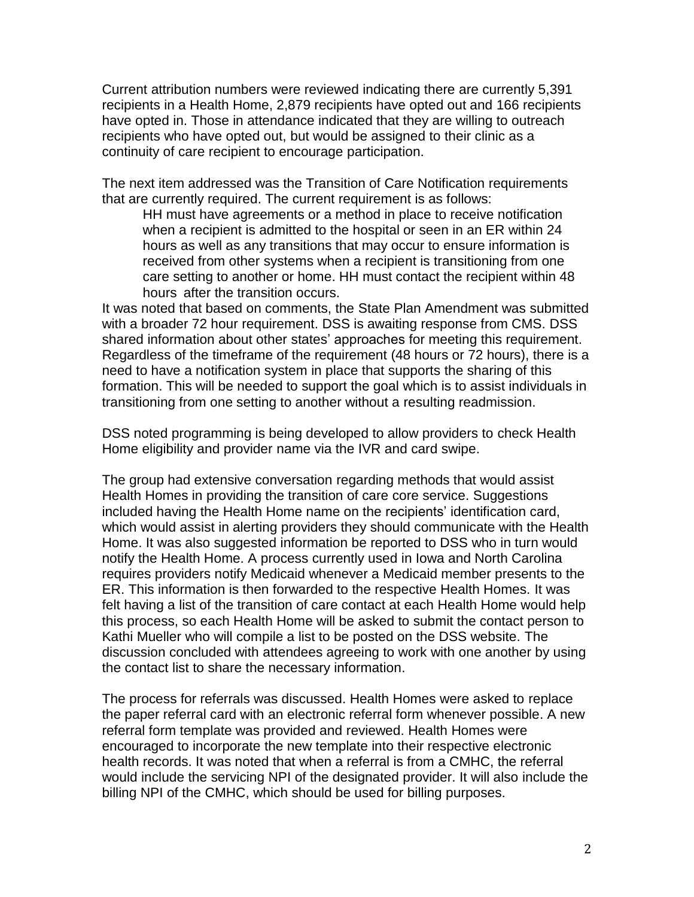Current attribution numbers were reviewed indicating there are currently 5,391 recipients in a Health Home, 2,879 recipients have opted out and 166 recipients have opted in. Those in attendance indicated that they are willing to outreach recipients who have opted out, but would be assigned to their clinic as a continuity of care recipient to encourage participation.

The next item addressed was the Transition of Care Notification requirements that are currently required. The current requirement is as follows:

HH must have agreements or a method in place to receive notification when a recipient is admitted to the hospital or seen in an ER within 24 hours as well as any transitions that may occur to ensure information is received from other systems when a recipient is transitioning from one care setting to another or home. HH must contact the recipient within 48 hours after the transition occurs.

It was noted that based on comments, the State Plan Amendment was submitted with a broader 72 hour requirement. DSS is awaiting response from CMS. DSS shared information about other states' approaches for meeting this requirement. Regardless of the timeframe of the requirement (48 hours or 72 hours), there is a need to have a notification system in place that supports the sharing of this formation. This will be needed to support the goal which is to assist individuals in transitioning from one setting to another without a resulting readmission.

DSS noted programming is being developed to allow providers to check Health Home eligibility and provider name via the IVR and card swipe.

The group had extensive conversation regarding methods that would assist Health Homes in providing the transition of care core service. Suggestions included having the Health Home name on the recipients' identification card, which would assist in alerting providers they should communicate with the Health Home. It was also suggested information be reported to DSS who in turn would notify the Health Home. A process currently used in Iowa and North Carolina requires providers notify Medicaid whenever a Medicaid member presents to the ER. This information is then forwarded to the respective Health Homes. It was felt having a list of the transition of care contact at each Health Home would help this process, so each Health Home will be asked to submit the contact person to Kathi Mueller who will compile a list to be posted on the DSS website. The discussion concluded with attendees agreeing to work with one another by using the contact list to share the necessary information.

The process for referrals was discussed. Health Homes were asked to replace the paper referral card with an electronic referral form whenever possible. A new referral form template was provided and reviewed. Health Homes were encouraged to incorporate the new template into their respective electronic health records. It was noted that when a referral is from a CMHC, the referral would include the servicing NPI of the designated provider. It will also include the billing NPI of the CMHC, which should be used for billing purposes.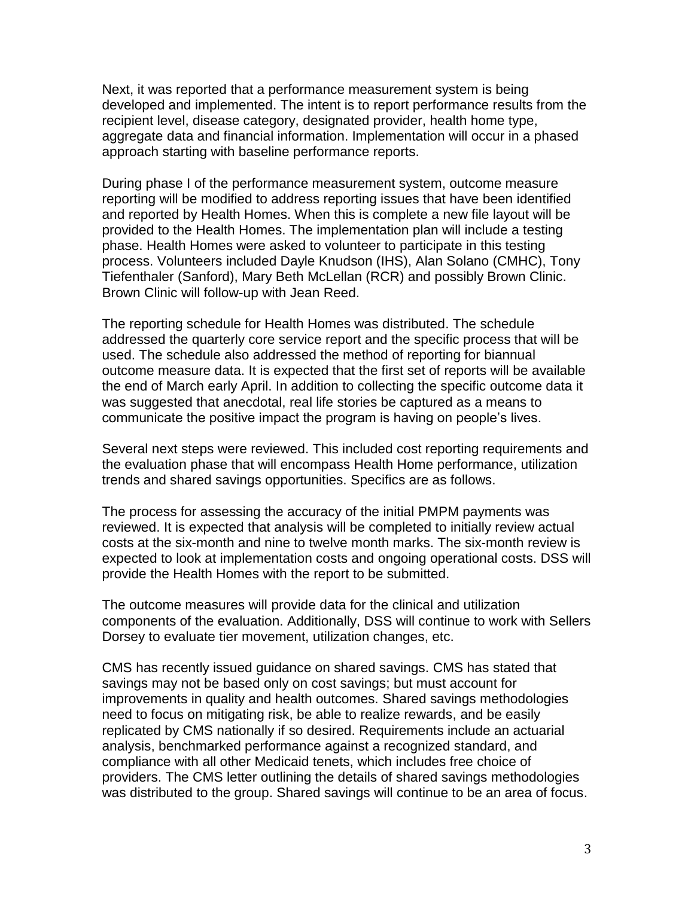Next, it was reported that a performance measurement system is being developed and implemented. The intent is to report performance results from the recipient level, disease category, designated provider, health home type, aggregate data and financial information. Implementation will occur in a phased approach starting with baseline performance reports.

During phase I of the performance measurement system, outcome measure reporting will be modified to address reporting issues that have been identified and reported by Health Homes. When this is complete a new file layout will be provided to the Health Homes. The implementation plan will include a testing phase. Health Homes were asked to volunteer to participate in this testing process. Volunteers included Dayle Knudson (IHS), Alan Solano (CMHC), Tony Tiefenthaler (Sanford), Mary Beth McLellan (RCR) and possibly Brown Clinic. Brown Clinic will follow-up with Jean Reed.

The reporting schedule for Health Homes was distributed. The schedule addressed the quarterly core service report and the specific process that will be used. The schedule also addressed the method of reporting for biannual outcome measure data. It is expected that the first set of reports will be available the end of March early April. In addition to collecting the specific outcome data it was suggested that anecdotal, real life stories be captured as a means to communicate the positive impact the program is having on people's lives.

Several next steps were reviewed. This included cost reporting requirements and the evaluation phase that will encompass Health Home performance, utilization trends and shared savings opportunities. Specifics are as follows.

The process for assessing the accuracy of the initial PMPM payments was reviewed. It is expected that analysis will be completed to initially review actual costs at the six-month and nine to twelve month marks. The six-month review is expected to look at implementation costs and ongoing operational costs. DSS will provide the Health Homes with the report to be submitted.

The outcome measures will provide data for the clinical and utilization components of the evaluation. Additionally, DSS will continue to work with Sellers Dorsey to evaluate tier movement, utilization changes, etc.

CMS has recently issued guidance on shared savings. CMS has stated that savings may not be based only on cost savings; but must account for improvements in quality and health outcomes. Shared savings methodologies need to focus on mitigating risk, be able to realize rewards, and be easily replicated by CMS nationally if so desired. Requirements include an actuarial analysis, benchmarked performance against a recognized standard, and compliance with all other Medicaid tenets, which includes free choice of providers. The CMS letter outlining the details of shared savings methodologies was distributed to the group. Shared savings will continue to be an area of focus.